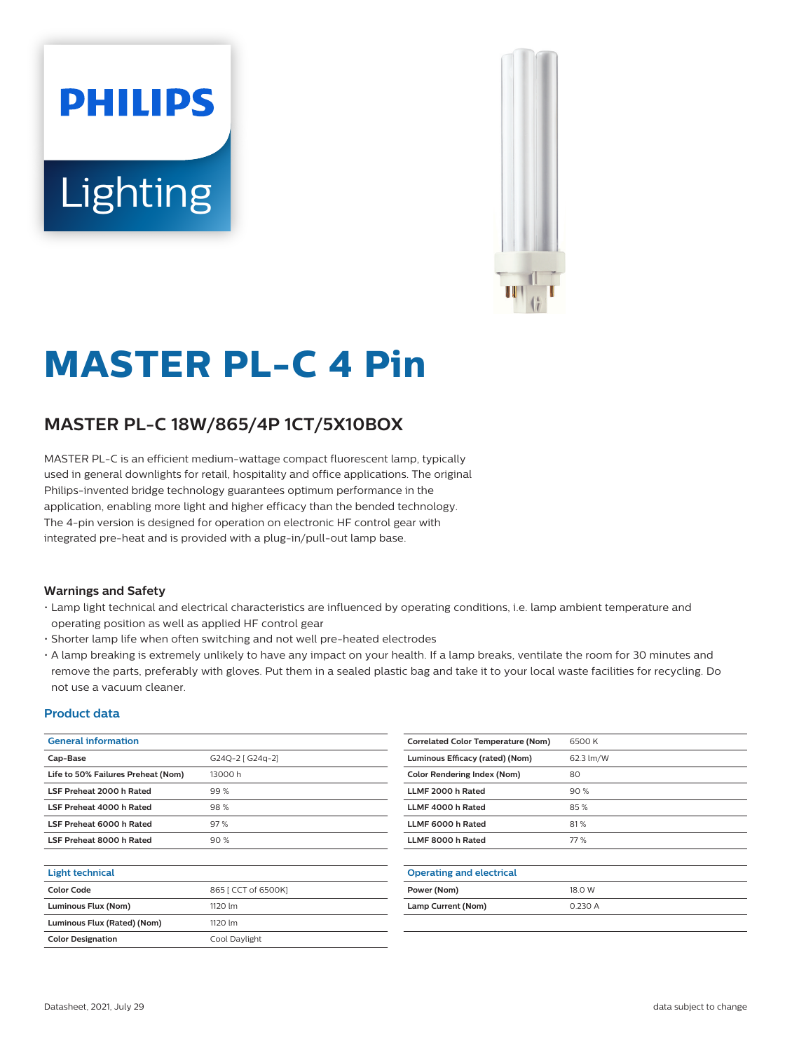# **PHILIPS Lighting**



# **MASTER PL-C 4 Pin**

# **MASTER PL-C 18W/865/4P 1CT/5X10BOX**

MASTER PL-C is an efficient medium-wattage compact fluorescent lamp, typically used in general downlights for retail, hospitality and office applications. The original Philips-invented bridge technology guarantees optimum performance in the application, enabling more light and higher efficacy than the bended technology. The 4-pin version is designed for operation on electronic HF control gear with integrated pre-heat and is provided with a plug-in/pull-out lamp base.

#### **Warnings and Safety**

- Lamp light technical and electrical characteristics are influenced by operating conditions, i.e. lamp ambient temperature and operating position as well as applied HF control gear
- Shorter lamp life when often switching and not well pre-heated electrodes
- A lamp breaking is extremely unlikely to have any impact on your health. If a lamp breaks, ventilate the room for 30 minutes and remove the parts, preferably with gloves. Put them in a sealed plastic bag and take it to your local waste facilities for recycling. Do not use a vacuum cleaner.

#### **Product data**

| <b>General information</b>         |                     | <b>Correlated Color Temperature (Nom)</b> | 6500K     |
|------------------------------------|---------------------|-------------------------------------------|-----------|
| Cap-Base                           | G24Q-2 [ G24q-2]    | Luminous Efficacy (rated) (Nom)           | 62.3 lm/W |
| Life to 50% Failures Preheat (Nom) | 13000 h             | <b>Color Rendering Index (Nom)</b>        | 80        |
| LSF Preheat 2000 h Rated           | 99%                 | LLMF 2000 h Rated                         | 90%       |
| LSF Preheat 4000 h Rated           | 98%                 | LLMF 4000 h Rated                         | 85%       |
| LSF Preheat 6000 h Rated           | 97%                 | LLMF 6000 h Rated                         | 81%       |
| LSF Preheat 8000 h Rated           | 90%                 | LLMF 8000 h Rated                         | 77 %      |
|                                    |                     |                                           |           |
| <b>Light technical</b>             |                     | <b>Operating and electrical</b>           |           |
| <b>Color Code</b>                  | 865 [ CCT of 6500K] | Power (Nom)                               | 18.0 W    |
| Luminous Flux (Nom)                | 1120 lm             | Lamp Current (Nom)                        | 0.230 A   |
| Luminous Flux (Rated) (Nom)        | 1120 lm             |                                           |           |
| <b>Color Designation</b>           | Cool Daylight       |                                           |           |
|                                    |                     |                                           |           |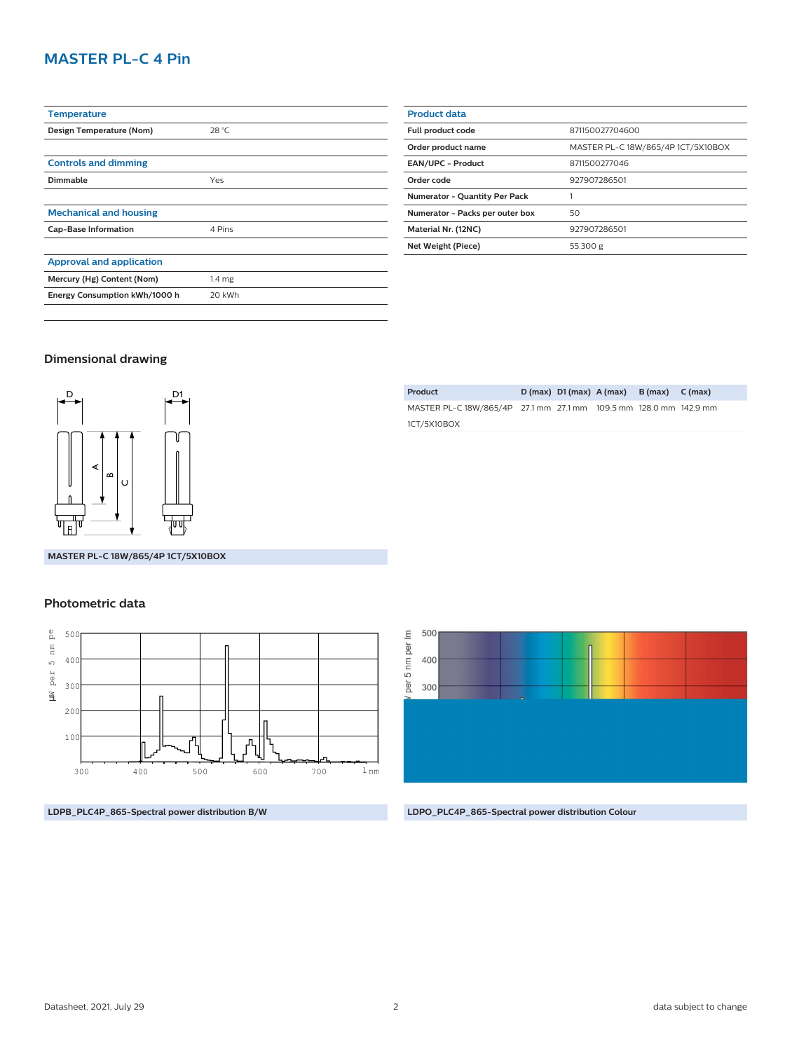# **MASTER PL-C 4 Pin**

| <b>Temperature</b>              |                   |
|---------------------------------|-------------------|
| Design Temperature (Nom)        | 28 °C             |
|                                 |                   |
| <b>Controls and dimming</b>     |                   |
| Dimmable                        | Yes               |
|                                 |                   |
| <b>Mechanical and housing</b>   |                   |
| <b>Cap-Base Information</b>     | 4 Pins            |
|                                 |                   |
| <b>Approval and application</b> |                   |
| Mercury (Hg) Content (Nom)      | 1.4 <sub>mg</sub> |
| Energy Consumption kWh/1000 h   | 20 kWh            |
|                                 |                   |

| <b>Product data</b>             |                                    |  |  |
|---------------------------------|------------------------------------|--|--|
| Full product code               | 871150027704600                    |  |  |
| Order product name              | MASTER PL-C 18W/865/4P 1CT/5X10BOX |  |  |
| EAN/UPC - Product               | 8711500277046                      |  |  |
| Order code                      | 927907286501                       |  |  |
| Numerator - Quantity Per Pack   |                                    |  |  |
| Numerator - Packs per outer box | 50                                 |  |  |
| Material Nr. (12NC)             | 927907286501                       |  |  |
| Net Weight (Piece)              | 55.300 g                           |  |  |
|                                 |                                    |  |  |

## **Dimensional drawing**



**Product D (max) D1 (max) A (max) B (max) C (max)** MASTER PL-C 18W/865/4P 27.1 mm 27.1 mm 109.5 mm 128.0 mm 142.9 mm 1CT/5X10BOX

**MASTER PL-C 18W/865/4P 1CT/5X10BOX**

#### **Photometric data**